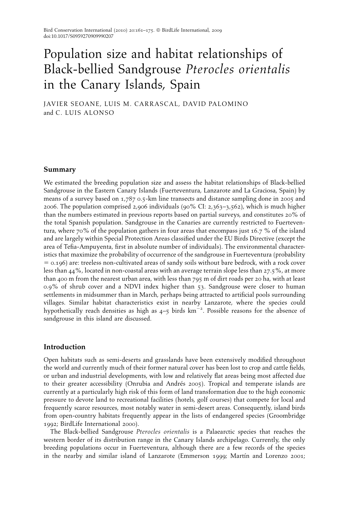# Population size and habitat relationships of Black-bellied Sandgrouse Pterocles orientalis in the Canary Islands, Spain

JAVIER SEOANE, LUIS M. CARRASCAL, DAVID PALOMINO and C. LUIS ALONSO

## Summary

We estimated the breeding population size and assess the habitat relationships of Black-bellied Sandgrouse in the Eastern Canary Islands (Fuerteventura, Lanzarote and La Graciosa, Spain) by means of a survey based on 1,787 0.5-km line transects and distance sampling done in 2005 and 2006. The population comprised 2,906 individuals (90% CI: 2,363–3,562), which is much higher than the numbers estimated in previous reports based on partial surveys, and constitutes 20% of the total Spanish population. Sandgrouse in the Canaries are currently restricted to Fuerteventura, where 70% of the population gathers in four areas that encompass just 16.7 % of the island and are largely within Special Protection Areas classified under the EU Birds Directive (except the area of Tefia-Ampuyenta, first in absolute number of individuals). The environmental characteristics that maximize the probability of occurrence of the sandgrouse in Fuerteventura (probability  $=$  0.196) are: treeless non-cultivated areas of sandy soils without bare bedrock, with a rock cover less than 44%, located in non-coastal areas with an average terrain slope less than 27.5%, at more than 400 m from the nearest urban area, with less than 795 m of dirt roads per 20 ha, with at least 0.9% of shrub cover and a NDVI index higher than 53. Sandgrouse were closer to human settlements in midsummer than in March, perhaps being attracted to artificial pools surrounding villages. Similar habitat characteristics exist in nearby Lanzarote, where the species could hypothetically reach densities as high as  $4-5$  birds km<sup>-2</sup>. Possible reasons for the absence of sandgrouse in this island are discussed.

# Introduction

Open habitats such as semi-deserts and grasslands have been extensively modified throughout the world and currently much of their former natural cover has been lost to crop and cattle fields, or urban and industrial developments, with low and relatively flat areas being most affected due to their greater accessibility (Onrubia and Andrés 2005). Tropical and temperate islands are currently at a particularly high risk of this form of land transformation due to the high economic pressure to devote land to recreational facilities (hotels, golf courses) that compete for local and frequently scarce resources, most notably water in semi-desert areas. Consequently, island birds from open-country habitats frequently appear in the lists of endangered species (Groombridge 1992; BirdLife International 2000).

The Black-bellied Sandgrouse Pterocles orientalis is a Palaearctic species that reaches the western border of its distribution range in the Canary Islands archipelago. Currently, the only breeding populations occur in Fuerteventura, although there are a few records of the species in the nearby and similar island of Lanzarote (Emmerson 1999; Martín and Lorenzo 2001;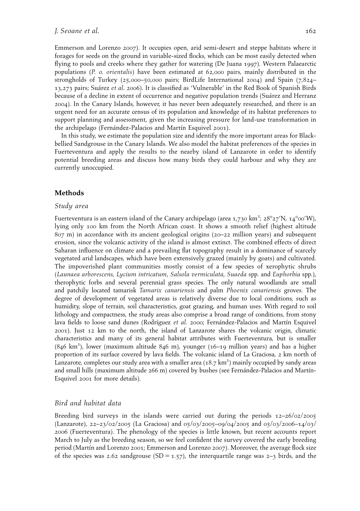Emmerson and Lorenzo 2007). It occupies open, arid semi-desert and steppe habitats where it forages for seeds on the ground in variable-sized flocks, which can be most easily detected when flying to pools and creeks where they gather for watering (De Juana 1997). Western Palaearctic populations (P. o. orientalis) have been estimated at 62,000 pairs, mainly distributed in the strongholds of Turkey (25,000–50,000 pairs; BirdLife International 2004) and Spain (7,824– 13,273 pairs; Suárez et al. 2006). It is classified as 'Vulnerable' in the Red Book of Spanish Birds because of a decline in extent of occurrence and negative population trends (Suárez and Herranz 2004). In the Canary Islands, however, it has never been adequately researched, and there is an urgent need for an accurate census of its population and knowledge of its habitat preferences to support planning and assessment, given the increasing pressure for land-use transformation in the archipelago (Fernández-Palacios and Martín Esquivel 2001).

In this study, we estimate the population size and identify the more important areas for Blackbellied Sandgrouse in the Canary Islands. We also model the habitat preferences of the species in Fuerteventura and apply the results to the nearby island of Lanzarote in order to identify potential breeding areas and discuss how many birds they could harbour and why they are currently unoccupied.

## Methods

#### Study area

Fuerteventura is an eastern island of the Canary archipelago (area 1,730 km²; 28°27'N, 14°00'W), lying only 100 km from the North African coast. It shows a smooth relief (highest altitude 807 m) in accordance with its ancient geological origins (20–22 million years) and subsequent erosion, since the volcanic activity of the island is almost extinct. The combined effects of direct Saharan influence on climate and a prevailing flat topography result in a dominance of scarcely vegetated arid landscapes, which have been extensively grazed (mainly by goats) and cultivated. The impoverished plant communities mostly consist of a few species of xerophytic shrubs (Launaea arborescens, Lycium intricatum, Salsola vermiculata, Suaeda spp. and Euphorbia spp.), therophytic forbs and several perennial grass species. The only natural woodlands are small and patchily located tamarisk Tamarix canariensis and palm Phoenix canariensis groves. The degree of development of vegetated areas is relatively diverse due to local conditions, such as humidity, slope of terrain, soil characteristics, goat grazing, and human uses. With regard to soil lithology and compactness, the study areas also comprise a broad range of conditions, from stony lava fields to loose sand dunes (Rodríguez et al. 2000; Fernández-Palacios and Martín Esquivel 2001). Just 12 km to the north, the island of Lanzarote shares the volcanic origin, climatic characteristics and many of its general habitat attributes with Fuerteventura, but is smaller (846 km<sup>2</sup> ), lower (maximum altitude 846 m), younger (16–19 million years) and has a higher proportion of its surface covered by lava fields. The volcanic island of La Graciosa, 2 km north of .<br>Lanzarote, completes our study area with a smaller area (18.7 km²) mainly occupied by sandy areas and small hills (maximum altitude 266 m) covered by bushes (see Fernández-Palacios and Martín-Esquivel 2001 for more details).

#### Bird and habitat data

Breeding bird surveys in the islands were carried out during the periods 12–26/02/2005 (Lanzarote), 22–23/02/2005 (La Graciosa) and 05/03/2005–09/04/2005 and 05/03/2006–14/03/ 2006 (Fuerteventura). The phenology of the species is little known, but recent accounts report March to July as the breeding season, so we feel confident the survey covered the early breeding period (Martín and Lorenzo 2001; Emmerson and Lorenzo 2007). Moreover, the average flock size of the species was 2.62 sandgrouse  $(SD = 1.57)$ , the interquartile range was 2–3 birds, and the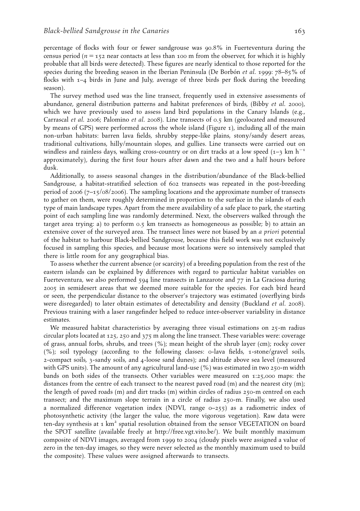percentage of flocks with four or fewer sandgrouse was 90.8% in Fuerteventura during the census period ( $n = 152$  near contacts at less than 100 m from the observer, for which it is highly probable that all birds were detected). These figures are nearly identical to those reported for the species during the breeding season in the Iberian Peninsula (De Borbón *et al.* 1999:  $78-85\%$  of flocks with 1–4 birds in June and July, average of three birds per flock during the breeding season).

The survey method used was the line transect, frequently used in extensive assessments of abundance, general distribution patterns and habitat preferences of birds, (Bibby et al. 2000), which we have previously used to assess land bird populations in the Canary Islands (e.g., Carrascal et al. 2006; Palomino et al. 2008). Line transects of 0.5 km (geolocated and measured by means of GPS) were performed across the whole island (Figure 1), including all of the main non-urban habitats: barren lava fields, shrubby steppe-like plains, stony/sandy desert areas, traditional cultivations, hilly/mountain slopes, and gullies. Line transects were carried out on windless and rainless days, walking cross-country or on dirt tracks at a low speed  $(1-3)$  km h<sup>-1</sup> approximately), during the first four hours after dawn and the two and a half hours before dusk.

Additionally, to assess seasonal changes in the distribution/abundance of the Black-bellied Sandgrouse, a habitat-stratified selection of 602 transects was repeated in the post-breeding period of 2006 (7–15/08/2006). The sampling locations and the approximate number of transects to gather on them, were roughly determined in proportion to the surface in the islands of each type of main landscape types. Apart from the mere availability of a safe place to park, the starting point of each sampling line was randomly determined. Next, the observers walked through the target area trying: a) to perform 0.5 km transects as homogeneous as possible; b) to attain an extensive cover of the surveyed area. The transect lines were not biased by an *a priori* potential of the habitat to harbour Black-bellied Sandgrouse, because this field work was not exclusively focused in sampling this species, and because most locations were so intensively sampled that there is little room for any geographical bias.

To assess whether the current absence (or scarcity) of a breeding population from the rest of the eastern islands can be explained by differences with regard to particular habitat variables on Fuerteventura, we also performed 594 line transects in Lanzarote and 77 in La Graciosa during 2005 in semidesert areas that we deemed more suitable for the species. For each bird heard or seen, the perpendicular distance to the observer's trajectory was estimated (overflying birds were disregarded) to later obtain estimates of detectability and density (Buckland et al. 2008). Previous training with a laser rangefinder helped to reduce inter-observer variability in distance estimates.

We measured habitat characteristics by averaging three visual estimations on 25-m radius circular plots located at 125, 250 and 375 m along the line transect. These variables were: coverage of grass, annual forbs, shrubs, and trees (%); mean height of the shrub layer (cm); rocky cover (%); soil typology (according to the following classes: 0-lava fields, 1-stone/gravel soils, 2-compact soils, 3-sandy soils, and 4-loose sand dunes); and altitude above sea level (measured with GPS units). The amount of any agricultural land-use (%) was estimated in two 250-m width bands on both sides of the transects. Other variables were measured on 1:25,000 maps: the distances from the centre of each transect to the nearest paved road (m) and the nearest city (m); the length of paved roads (m) and dirt tracks (m) within circles of radius 250-m centred on each transect; and the maximum slope terrain in a circle of radius 250-m. Finally, we also used a normalized difference vegetation index (NDVI, range  $o$ -255) as a radiometric index of photosynthetic activity (the larger the value, the more vigorous vegetation). Raw data were ten-day synthesis at  $1 \text{ km}^2$  spatial resolution obtained from the sensor VEGETATION on board the SPOT satellite (available freely at http://free.vgt.vito.be/). We built monthly maximum composite of NDVI images, averaged from 1999 to 2004 (cloudy pixels were assigned a value of zero in the ten-day images, so they were never selected as the monthly maximum used to build the composite). These values were assigned afterwards to transects.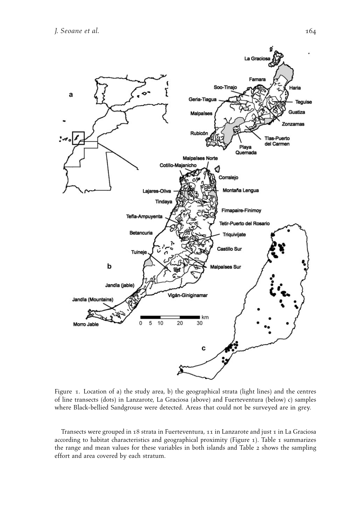

Figure 1. Location of a) the study area, b) the geographical strata (light lines) and the centres of line transects (dots) in Lanzarote, La Graciosa (above) and Fuerteventura (below) c) samples where Black-bellied Sandgrouse were detected. Areas that could not be surveyed are in grey.

Transects were grouped in 18 strata in Fuerteventura, 11 in Lanzarote and just 1 in La Graciosa according to habitat characteristics and geographical proximity (Figure 1). Table 1 summarizes the range and mean values for these variables in both islands and Table 2 shows the sampling effort and area covered by each stratum.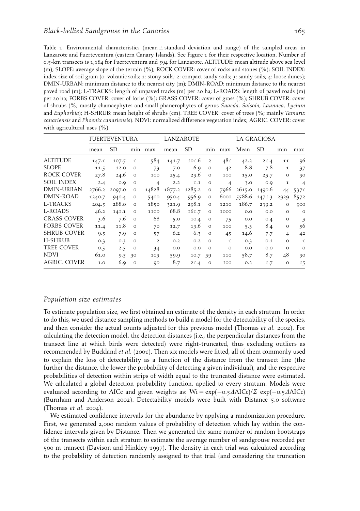Table 1. Environmental characteristics (mean  $\pm$  standard deviation and range) of the sampled areas in Lanzarote and Fuerteventura (eastern Canary Islands). See Figure 1 for their respective location. Number of 0.5-km transects is 1,184 for Fuerteventura and 594 for Lanzarote. ALTITUDE: mean altitude above sea level (m); SLOPE: average slope of the terrain (%); ROCK COVER: cover of rocks and stones (%); SOIL INDEX: index size of soil grain (0: volcanic soils; 1: stony soils; 2: compact sandy soils; 3: sandy soils; 4: loose dunes); DMIN-URBAN: minimum distance to the nearest city (m); DMIN-ROAD: minimum distance to the nearest paved road (m); L-TRACKS: length of unpaved tracks (m) per 20 ha; L-ROADS: length of paved roads (m) per 20 ha; FORBS COVER: cover of forbs (%); GRASS COVER: cover of grass (%); SHRUB COVER: cover of shrubs (%; mostly chamaephytes and small phanerophytes of genus Suaeda, Salsola, Launaea, Lycium and Euphorbia); H-SHRUB: mean height of shrubs (cm). TREE COVER: cover of trees (%; mainly Tamarix canariensis and Phoenix canariensis). NDVI: normalized difference vegetation index; AGRIC. COVER: cover with agricultural uses (%).

|                    | <b>FUERTEVENTURA</b> |           |         | LANZAROTE      |        |           |                | LA GRACIOSA    |        |           |                |                |
|--------------------|----------------------|-----------|---------|----------------|--------|-----------|----------------|----------------|--------|-----------|----------------|----------------|
|                    | mean                 | <b>SD</b> | min     | max            | mean   | <b>SD</b> | min            | max            | Mean   | <b>SD</b> | min            | max            |
| <b>ALTITUDE</b>    | 147.1                | 107.5     | 1       | 584            | 141.7  | 101.6     | $\overline{2}$ | 481            | 42.2   | 21.4      | 11             | 96             |
| <b>SLOPE</b>       | 11.5                 | 12.0      | $\circ$ | 73             | 7.0    | 6.9       | $\circ$        | 42             | 8.8    | 7.8       | 1              | 37             |
| ROCK COVER         | 27.8                 | 24.6      | $\circ$ | 100            | 25.4   | 29.6      | $\circ$        | 100            | 15.0   | 23.7      | $\circ$        | 90             |
| <b>SOIL INDEX</b>  | 2.4                  | 0.9       | $\circ$ | $\overline{4}$ | 2.2    | 1.1       | $\circ$        | $\overline{4}$ | 3.0    | 0.9       | 1              | 4              |
| DMIN-URBAN         | 2766.2               | 2097.0    | $\circ$ | 14828          | 1877.2 | 1285.2    | $\circ$        | 7966           | 2615.0 | 1490.6    | 44             | 5371           |
| DMIN-ROAD          | 1240.7               | 940.4     | $\circ$ | 5400           | 950.4  | 956.9     | $\circ$        | 6000           | 5588.6 | 1471.3    | 2929           | 8572           |
| L-TRACKS           | 204.5                | 288.0     | $\circ$ | 1850           | 321.9  | 298.1     | $\circ$        | 1210           | 186.7  | 239.2     | $\circ$        | 900            |
| L-ROADS            | 46.2                 | 141.1     | $\circ$ | 1100           | 68.8   | 161.7     | $\circ$        | 1000           | 0.0    | 0.0       | $\circ$        | $\circ$        |
| <b>GRASS COVER</b> | 3.6                  | 7.6       | $\circ$ | 68             | 5.0    | 10.4      | $\circ$        | 75             | 0.0    | O.4       | $\circ$        | 3              |
| <b>FORBS COVER</b> | 11.4                 | 11.8      | $\circ$ | 70             | 12.7   | 13.6      | $\circ$        | 100            | 5.3    | 8.4       | $\circ$        | 56             |
| <b>SHRUB COVER</b> | 9.5                  | 7.9       | $\circ$ | 57             | 6.2    | 6.3       | $\circ$        | 45             | 14.6   | 7.7       | $\overline{4}$ | 4 <sup>2</sup> |
| H-SHRUB            | 0.3                  | O.3       | $\circ$ | $\overline{2}$ | O.2    | O.2       | $\circ$        | 1              | O.3    | 0.1       | $\circ$        | $\mathbf I$    |
| TREE COVER         | 0.5                  | 2.5       | $\circ$ | 34             | 0.0    | O.O       | $\Omega$       | $\circ$        | O.O    | 0.0       | $\circ$        | $\circ$        |
| <b>NDVI</b>        | 61.0                 | 9.5       | 30      | 103            | 59.9   | 10.7      | 39             | 110            | 58.7   | 8.7       | 48             | 90             |
| AGRIC. COVER       | 1.0                  | 6.9       | $\circ$ | 90             | 8.7    | 21.4      | $\circ$        | 100            | O.2    | 1.7       | $\circ$        | 15             |

#### Population size estimates

To estimate population size, we first obtained an estimate of the density in each stratum. In order to do this, we used distance sampling methods to build a model for the detectability of the species, and then consider the actual counts adjusted for this previous model (Thomas et al. 2002). For calculating the detection model, the detection distances (i.e., the perpendicular distances from the transect line at which birds were detected) were right-truncated, thus excluding outliers as recommended by Buckland et al. (2001). Then six models were fitted, all of them commonly used to explain the loss of detectability as a function of the distance from the transect line (the further the distance, the lower the probability of detecting a given individual), and the respective probabilities of detection within strips of width equal to the truncated distance were estimated. We calculated a global detection probability function, applied to every stratum. Models were evaluated according to AICc and given weights as:  $Wi = exp(-0.5\Delta AICc)/\Sigma exp(-0.5\Delta AICc)$ (Burnham and Anderson 2002). Detectability models were built with Distance 5.0 software (Thomas et al. 2004).

We estimated confidence intervals for the abundance by applying a randomization procedure. First, we generated 2,000 random values of probability of detection which lay within the confidence intervals given by Distance. Then we generated the same number of random bootstraps of the transects within each stratum to estimate the average number of sandgrouse recorded per 500 m transect (Davison and Hinkley 1997). The density in each trial was calculated according to the probability of detection randomly assigned to that trial (and considering the truncation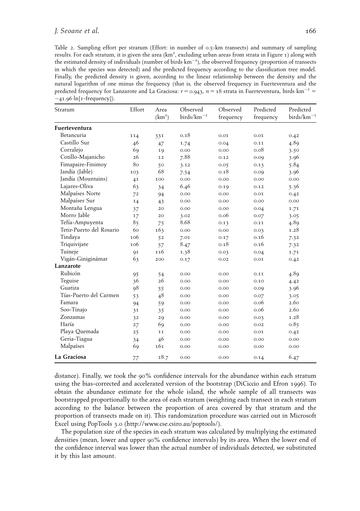Table 2. Sampling effort per stratum (Effort: in number of 0.5-km transects) and summary of sampling results. For each stratum, it is given the area (km², excluding urban areas from strata in Figure 1) along with the estimated density of individuals (number of birds  $\rm km^{-2})$ , the observed frequency (proportion of transects in which the species was detected) and the predicted frequency according to the classification tree model. Finally, the predicted density is given, according to the linear relationship between the density and the natural logarithm of one minus the frequency (that is, the observed frequency in Fuerteventura and the predicted frequency for Lanzarote and La Graciosa:  $r = 0.943$ ,  $n = 18$  strata in Fuerteventura, birds km<sup>-2</sup> = -41.96·ln[1-frequency]).

| Stratum                  | Effort | Area<br>(km <sup>2</sup> ) | Observed<br>$\frac{birds}{km^{-2}}$ | Observed<br>frequency | Predicted<br>frequency | Predicted<br>$\rm{birds}/\rm{km}^{-2}$ |
|--------------------------|--------|----------------------------|-------------------------------------|-----------------------|------------------------|----------------------------------------|
| Fuerteventura            |        |                            |                                     |                       |                        |                                        |
| Betancuria               | 114    | 331                        | 0.18                                | 0.01                  | 0.01                   | 0.42                                   |
| Castillo Sur             | 46     | 47                         | 1.74                                | 0.04                  | 0.11                   | 4.89                                   |
| Corralejo                | 69     | 19                         | 0.00                                | 0.00                  | 0.08                   | 3.50                                   |
| Cotillo-Majanicho        | 26     | 12                         | 7.88                                | 0.12                  | 0.09                   | 3.96                                   |
| Fimapaire-Finimoy        | 80     | 50                         | 3.12                                | 0.05                  | 0.13                   | 5.84                                   |
| Jandía (Jable)           | 103    | 68                         | 7.54                                | 0.18                  | 0.09                   | 3.96                                   |
| Jandía (Mountains)       | 41     | 100                        | 0.00                                | 0.00                  | 0.00                   | 0.00                                   |
| Lajares-Oliva            | 63     | 34                         | 6.46                                | 0.19                  | 0.12                   | 5.36                                   |
| Malpaíses Norte          | 72     | 94                         | 0.00                                | 0.00                  | 0.01                   | 0.42                                   |
| Malpaíses Sur            | 14     | 43                         | 0.00                                | 0.00                  | 0.00                   | 0.00                                   |
| Montaña Lengua           | 37     | 20                         | 0.00                                | 0.00                  | 0.04                   | 1.71                                   |
| Morro Jable              | 17     | 20                         | 3.02                                | 0.06                  | 0.07                   | 3.05                                   |
| Tefía-Ampuyenta          | 85     | 75                         | 8.68                                | 0.13                  | 0.11                   | 4.89                                   |
| Tetir-Puerto del Rosario | 60     | 163                        | 0.00                                | 0.00                  | 0.03                   | 1.28                                   |
| Tindaya                  | 106    | 52                         | 7.01                                | 0.17                  | 0.16                   | 7.32                                   |
| Triquivijate             | 106    | 57                         | 8.47                                | 0.18                  | 0.16                   | 7.32                                   |
| Tuineje                  | 91     | 116                        | 1.38                                | 0.03                  | 0.04                   | 1.71                                   |
| Vigán-Giniginámar        | 63     | 200                        | 0.17                                | 0.02                  | 0.01                   | 0.42                                   |
| Lanzarote                |        |                            |                                     |                       |                        |                                        |
| Rubicón                  | 95     | 54                         | 0.00                                | 0.00                  | 0.11                   | 4.89                                   |
| Teguise                  | 36     | 26                         | 0.00                                | 0.00                  | 0.10                   | 4.42                                   |
| Guatiza                  | 98     | 55                         | 0.00                                | 0.00                  | 0.09                   | 3.96                                   |
| Tías-Puerto del Carmen   | 53     | 48                         | 0.00                                | 0.00                  | 0.07                   | 3.05                                   |
| Famara                   | 94     | 59                         | 0.00                                | 0.00                  | 0.06                   | 2.60                                   |
| Soo-Tinajo               | 31     | 35                         | 0.00                                | 0.00                  | 0.06                   | 2.60                                   |
| Zonzamas                 | 32     | 29                         | 0.00                                | 0.00                  | 0.03                   | 1.28                                   |
| Haría                    | 27     | 69                         | 0.00                                | 0.00                  | 0.02                   | 0.85                                   |
| Playa Quemada            | 25     | 11                         | 0.00                                | 0.00                  | 0.01                   | 0.42                                   |
| Geria-Tiagua             | 34     | 46                         | 0.00                                | 0.00                  | 0.00                   | 0.00                                   |
| Malpaíses                | 69     | 161                        | 0.00                                | 0.00                  | 0.00                   | 0.00                                   |
| La Graciosa              | 77     | 18.7                       | 0.00                                | 0.00                  | 0.14                   | 6.47                                   |

distance). Finally, we took the 90% confidence intervals for the abundance within each stratum using the bias-corrected and accelerated version of the bootstrap (DiCiccio and Efron 1996). To obtain the abundance estimate for the whole island, the whole sample of all transects was bootstrapped proportionally to the area of each stratum (weighting each transect in each stratum according to the balance between the proportion of area covered by that stratum and the proportion of transects made on it). This randomization procedure was carried out in Microsoft Excel using PopTools 3.0 (http://www.cse.csiro.au/poptools/).

The population size of the species in each stratum was calculated by multiplying the estimated densities (mean, lower and upper 90% confidence intervals) by its area. When the lower end of the confidence interval was lower than the actual number of individuals detected, we substituted it by this last amount.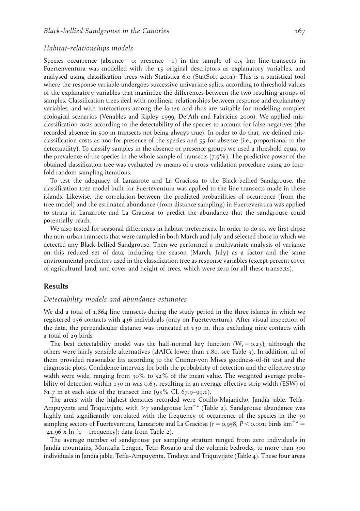#### Habitat-relationships models

Species occurrence (absence  $= 0$ ; presence  $= 1$ ) in the sample of 0.5 km line-transects in Fuertenventura was modelled with the 15 original descriptors as explanatory variables, and analysed using classification trees with Statistica 6.0 (StatSoft 2001). This is a statistical tool where the response variable undergoes successive univariate splits, according to threshold values of the explanatory variables that maximize the differences between the two resulting groups of samples. Classification trees deal with nonlinear relationships between response and explanatory variables, and with interactions among the latter, and thus are suitable for modelling complex ecological scenarios (Venables and Ripley 1999; De'Ath and Fabricius 2000). We applied misclassification costs according to the detectability of the species to account for false negatives (the recorded absence in 500 m transects not being always true). In order to do that, we defined misclassification costs as 100 for presence of the species and 55 for absence (i.e., proportional to the detectability). To classify samples in the absence or presence groups we used a threshold equal to the prevalence of the species in the whole sample of transects (7.9%). The predictive power of the obtained classification tree was evaluated by means of a cross-validation procedure using 20 fourfold random sampling iterations.

To test the adequacy of Lanzarote and La Graciosa to the Black-bellied Sandgrouse, the classification tree model built for Fuerteventura was applied to the line transects made in these islands. Likewise, the correlation between the predicted probabilities of occurrence (from the tree model) and the estimated abundance (from distance sampling) in Fuerteventura was applied to strata in Lanzarote and La Graciosa to predict the abundance that the sandgrouse could potentially reach.

We also tested for seasonal differences in habitat preferences. In order to do so, we first chose the non-urban transects that were sampled in both March and July and selected those in which we detected any Black-bellied Sandgrouse. Then we performed a multivariate analysis of variance on this reduced set of data, including the season (March, July) as a factor and the same environmental predictors used in the classification tree as response variables (except percent cover of agricultural land, and cover and height of trees, which were zero for all these transects).

#### Results

### Detectability models and abundance estimates

We did a total of 1,864 line transects during the study period in the three islands in which we registered 156 contacts with 436 individuals (only on Fuerteventura). After visual inspection of the data, the perpendicular distance was truncated at 130 m, thus excluding nine contacts with a total of 29 birds.

The best detectability model was the half-normal key function  $(W_i = 0.23)$ , although the others were fairly sensible alternatives  $(AAICc$  lower than 1.80, see Table 3). In addition, all of them provided reasonable fits according to the Cramer-von Mises goodness-of-fit test and the diagnostic plots. Confidence intervals for both the probability of detection and the effective strip width were wide, ranging from 30% to 52% of the mean value. The weighted average probability of detection within 130 m was 0.63, resulting in an average effective strip width (ESW) of 81.7 m at each side of the transect line (95% CI, 67.9–99.1).

The areas with the highest densities recorded were Cotillo-Majanicho, Jandía jable, Tefía-Ampuyenta and Triquivijate, with  $>$ 7 sandgrouse km<sup>-2</sup> (Table 2). Sandgrouse abundance was highly and significantly correlated with the frequency of occurrence of the species in the 30 sampling sectors of Fuerteventura, Lanzarote and La Graciosa ( $r = 0.958$ ,  $P < 0.001$ ; birds km<sup>-2</sup> =  $-41.96$  x  $\ln$  [1 – frequency]; data from Table 2).

The average number of sandgrouse per sampling stratum ranged from zero individuals in Jandía mountains, Montaña Lengua, Tetir-Rosario and the volcanic bedrocks, to more than 300 individuals in Jandía jable, Tefía-Ampuyenta, Tindaya and Triquivijate (Table 4). These four areas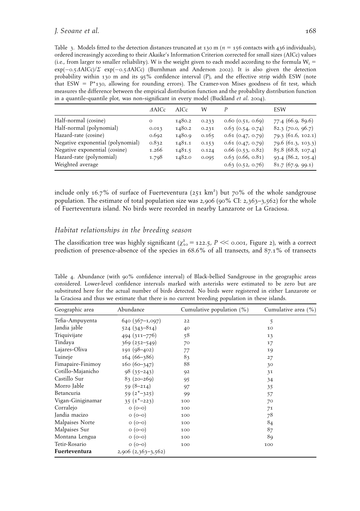Table 3. Models fitted to the detection distances truncated at 130 m ( $n = 156$  contacts with 436 individuals), ordered increasingly according to their Akaike's Information Criterion corrected for small sizes (AICc) values (i.e., from larger to smaller reliability). W is the weight given to each model according to the formula  $W_i =$  $\exp(-0.5\Delta AICc)/\Sigma$  exp(-0.5 $\Delta AICc$ ) (Burnhman and Anderson 2002). It is also given the detection probability within 130 m and its 95% confidence interval (P), and the effective strip width ESW (note that ESW =  $P^*$ 130, allowing for rounding errors). The Cramer-von Mises goodness of fit test, which measures the difference between the empirical distribution function and the probability distribution function in a quantile-quantile plot, was non-significant in every model (Buckland et al. 2004).

|                                   | <b>AAICc</b> | AICc   | W     |                       | ESW                |
|-----------------------------------|--------------|--------|-------|-----------------------|--------------------|
| Half-normal (cosine)              | $\circ$      | 1480.2 | 0.233 | $0.60$ $(0.51, 0.69)$ | 77.4 (66.9, 89.6)  |
| Half-normal (polynomial)          | 0.013        | 1480.2 | 0.231 | $0.63$ $(0.54, 0.74)$ | 82.3(70.0, 96.7)   |
| Hazard-rate (cosine)              | 0.692        | 1480.9 | 0.165 | $0.61$ $(0.47, 0.79)$ | 79.3 (61.6, 102.1) |
| Negative exponential (polynomial) | 0.832        | 1481.1 | 0.153 | $0.61$ $(0.47, 0.79)$ | 79.6 (61.3, 103.3) |
| Negative exponential (cosine)     | 1.266        | 1481.5 | 0.124 | $0.66$ (0.53, 0.82)   | 85.8(68.8, 107.4)  |
| Hazard-rate (polynomial)          | 1.798        | 1482.0 | 0.095 | $0.63$ (0.66, 0.81)   | 93.4(86.2, 105.4)  |
| Weighted average                  |              |        |       | $0.63$ $(0.52, 0.76)$ | 81.7(67.9, 99.1)   |

include only 16.7% of surface of Fuerteventura (251  $km^2$ ) but 70% of the whole sandgrouse population. The estimate of total population size was 2,906 (90% CI: 2,363-3,562) for the whole of Fuerteventura island. No birds were recorded in nearby Lanzarote or La Graciosa.

## Habitat relationships in the breeding season

The classification tree was highly significant ( $\chi^2_{10}$  = 122.5, P  $\ll$  0.001, Figure 2), with a correct prediction of presence-absence of the species in 68.6% of all transects, and 87.1% of transects

Table 4. Abundance (with 90% confidence interval) of Black-bellied Sandgrouse in the geographic areas considered. Lower-level confidence intervals marked with asterisks were estimated to be zero but are substituted here for the actual number of birds detected. No birds were registered in either Lanzarote or la Graciosa and thus we estimate that there is no current breeding population in these islands.

| Geographic area   | Abundance               | Cumulative population $(\%)$ | Cumulative area (%) |
|-------------------|-------------------------|------------------------------|---------------------|
| Tefia-Ampuyenta   | $640(367-1,097)$        | 22                           | 5                   |
| Jandia jable      | 524 (343-814)           | 40                           | 10                  |
| Triquivijate      | $494(311 - 776)$        | 58                           | 13                  |
| Tindaya           | $369(252 - 549)$        | 70                           | 17                  |
| Lajares-Oliva     | 191 (98-402)            | 77                           | 19                  |
| Tuineje           | $164(66 - 386)$         | 83                           | 27                  |
| Fimapaire-Finimoy | $160(60-347)$           | 88                           | 30                  |
| Cotillo-Majanicho | $98(35-243)$            | 92                           | 31                  |
| Castillo Sur      | $83(20-269)$            | 95                           | 34                  |
| Morro Jable       | $59(8-214)$             | 97                           | 35                  |
| Betancuria        | $59(2^{*}-325)$         | 99                           | 57                  |
| Vigan-Giniginamar | $35(1*-223)$            | 100                          | 70                  |
| Corralejo         | $O(O-O)$                | 100                          | 71                  |
| Jandia macizo     | $O(O-O)$                | 100                          | 78                  |
| Malpaises Norte   | $O(O-O)$                | 100                          | 84                  |
| Malpaises Sur     | $O(O-O)$                | 100                          | 87                  |
| Montana Lengua    | $O(O-O)$                | 100                          | 89                  |
| Tetir-Rosario     | $O(O-O)$                | 100                          | 100                 |
| Fuerteventura     | $2,906$ $(2,363-3,562)$ |                              |                     |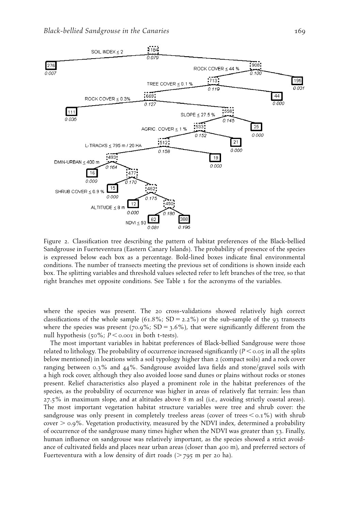

Figure 2. Classification tree describing the pattern of habitat preferences of the Black-bellied Sandgrouse in Fuerteventura (Eastern Canary Islands). The probability of presence of the species is expressed below each box as a percentage. Bold-lined boxes indicate final environmental conditions. The number of transects meeting the previous set of conditions is shown inside each box. The splitting variables and threshold values selected refer to left branches of the tree, so that right branches met opposite conditions. See Table 1 for the acronyms of the variables.

where the species was present. The 20 cross-validations showed relatively high correct classifications of the whole sample (61.8%; SD = 2.2%) or the sub-sample of the 93 transects where the species was present (70.9%; SD = 3.6%), that were significantly different from the null hypothesis (50%;  $P \le 0.001$  in both t-tests).

The most important variables in habitat preferences of Black-bellied Sandgrouse were those related to lithology. The probability of occurrence increased significantly ( $P < 0.05$  in all the splits below mentioned) in locations with a soil typology higher than 2 (compact soils) and a rock cover ranging between 0.3% and 44%. Sandgrouse avoided lava fields and stone/gravel soils with a high rock cover, although they also avoided loose sand dunes or plains without rocks or stones present. Relief characteristics also played a prominent role in the habitat preferences of the species, as the probability of occurrence was higher in areas of relatively flat terrain: less than 27.5% in maximum slope, and at altitudes above 8 m asl (i.e., avoiding strictly coastal areas). The most important vegetation habitat structure variables were tree and shrub cover: the sandgrouse was only present in completely treeless areas (cover of trees  $\lt o.1\%$ ) with shrub cover  $> 0.9\%$ . Vegetation productivity, measured by the NDVI index, determined a probability of occurrence of the sandgrouse many times higher when the NDVI was greater than 53. Finally, human influence on sandgrouse was relatively important, as the species showed a strict avoidance of cultivated fields and places near urban areas (closer than 400 m), and preferred sectors of Fuerteventura with a low density of dirt roads  $($  > 795 m per 20 ha).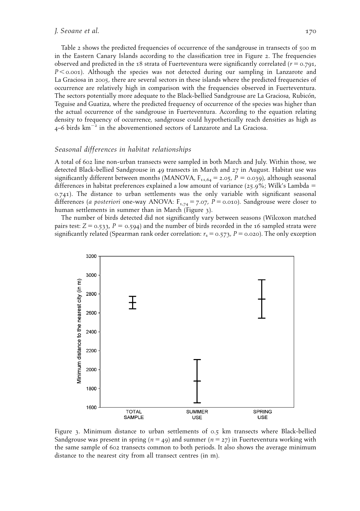Table 2 shows the predicted frequencies of occurrence of the sandgrouse in transects of 500 m in the Eastern Canary Islands according to the classification tree in Figure 2. The frequencies observed and predicted in the 18 strata of Fuerteventura were significantly correlated ( $r = 0.791$ ,  $P \le 0.001$ ). Although the species was not detected during our sampling in Lanzarote and La Graciosa in 2005, there are several sectors in these islands where the predicted frequencies of occurrence are relatively high in comparison with the frequencies observed in Fuerteventura. The sectors potentially more adequate to the Black-bellied Sandgrouse are La Graciosa, Rubicón, Teguise and Guatiza, where the predicted frequency of occurrence of the species was higher than the actual occurrence of the sandgrouse in Fuerteventura. According to the equation relating density to frequency of occurrence, sandgrouse could hypothetically reach densities as high as 4–6 birds km-<sup>2</sup> in the abovementioned sectors of Lanzarote and La Graciosa.

#### Seasonal differences in habitat relationships

A total of 602 line non-urban transects were sampled in both March and July. Within those, we detected Black-bellied Sandgrouse in 49 transects in March and 27 in August. Habitat use was significantly different between months (MANOVA,  $F_{11,64} = 2.05$ ,  $P = 0.039$ ), although seasonal differences in habitat preferences explained a low amount of variance (25.9%; Wilk's Lambda  $=$ 0.741). The distance to urban settlements was the only variable with significant seasonal differences (a posteriori one-way ANOVA:  $F_{1,74} = 7.07$ ,  $P = 0.010$ ). Sandgrouse were closer to human settlements in summer than in March (Figure 3).

The number of birds detected did not significantly vary between seasons (Wilcoxon matched pairs test:  $Z = 0.533$ ,  $P = 0.594$ ) and the number of birds recorded in the 16 sampled strata were significantly related (Spearman rank order correlation:  $r_s = 0.573$ ,  $P = 0.020$ ). The only exception



Figure 3. Minimum distance to urban settlements of 0.5 km transects where Black-bellied Sandgrouse was present in spring ( $n = 49$ ) and summer ( $n = 27$ ) in Fuerteventura working with the same sample of 602 transects common to both periods. It also shows the average minimum distance to the nearest city from all transect centres (in m).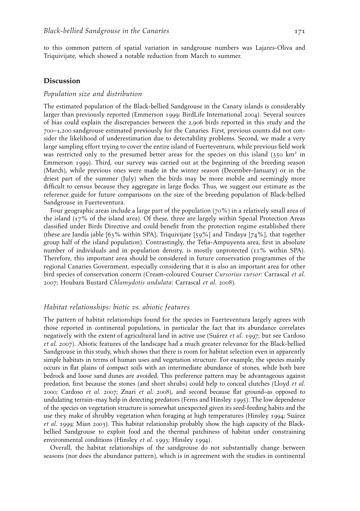to this common pattern of spatial variation in sandgrouse numbers was Lajares-Oliva and Triquivijate, which showed a notable reduction from March to summer.

#### Discussion

#### Population size and distribution

The estimated population of the Black-bellied Sandgrouse in the Canary islands is considerably larger than previously reported (Emmerson 1999; BirdLife International 2004). Several sources of bias could explain the discrepancies between the 2,906 birds reported in this study and the 700–1,200 sandgrouse estimated previously for the Canaries. First, previous counts did not consider the likelihood of underestimation due to detectability problems. Second, we made a very large sampling effort trying to cover the entire island of Fuerteventura, while previous field work was restricted only to the presumed better areas for the species on this island (350 km<sup>2</sup> in Emmerson 1999). Third, our survey was carried out at the beginning of the breeding season (March), while previous ones were made in the winter season (December–January) or in the driest part of the summer (July) when the birds may be more mobile and seemingly more difficult to census because they aggregate in large flocks. Thus, we suggest our estimate as the reference guide for future comparisons on the size of the breeding population of Black-bellied Sandgrouse in Fuerteventura.

Four geographic areas include a large part of the population (70%) in a relatively small area of the island (17% of the island area). Of these, three are largely within Special Protection Areas classified under Birds Directive and could benefit from the protection regime established there (these are Jandía jable [63% within SPA], Triquivijate [59%] and Tindaya [74%], that together group half of the island population). Contrastingly, the Tefia-Ampuyenta area, first in absolute number of individuals and in population density, is mostly unprotected (11% within SPA). Therefore, this important area should be considered in future conservation programmes of the regional Canaries Government, especially considering that it is also an important area for other bird species of conservation concern (Cream-coloured Courser Cursorius cursor: Carrascal et al. 2007; Houbara Bustard Chlamydotis undulata: Carrascal et al. 2008).

#### Habitat relationships: biotic vs. abiotic features

The pattern of habitat relationships found for the species in Fuerteventura largely agrees with those reported in continental populations, in particular the fact that its abundance correlates negatively with the extent of agricultural land in active use (Suárez *et al.* 1997; but see Cardoso et al. 2007). Abiotic features of the landscape had a much greater relevance for the Black-bellied Sandgrouse in this study, which shows that there is room for habitat selection even in apparently simple habitats in terms of human uses and vegetation structure. For example, the species mainly occurs in flat plains of compact soils with an intermediate abundance of stones, while both bare bedrock and loose sand dunes are avoided. This preference pattern may be advantageous against predation, first because the stones (and short shrubs) could help to conceal clutches (Lloyd et al. 2000; Cardoso et al. 2007; Znari et al. 2008), and second because flat ground–as opposed to undulating terrain–may help in detecting predators (Ferns and Hinsley 1995). The low dependence of the species on vegetation structure is somewhat unexpected given its seed-feeding habits and the use they make of shrubby vegetation when foraging at high temperatures (Hinsley 1994; Suárez et al. 1999; Mian 2003). This habitat relationship probably show the high capacity of the Blackbellied Sandgrouse to exploit food and the thermal patchiness of habitat under constraining environmental conditions (Hinsley et al. 1993; Hinsley 1994).

Overall, the habitat relationships of the sandgrouse do not substantially change between seasons (nor does the abundance pattern), which is in agreement with the studies in continental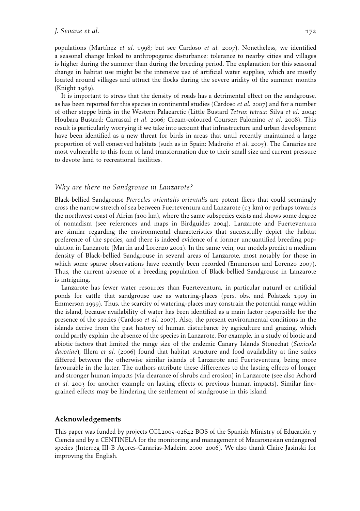populations (Martínez et al. 1998; but see Cardoso et al. 2007). Nonetheless, we identified a seasonal change linked to anthropogenic disturbance: tolerance to nearby cities and villages is higher during the summer than during the breeding period. The explanation for this seasonal change in habitat use might be the intensive use of artificial water supplies, which are mostly located around villages and attract the flocks during the severe aridity of the summer months (Knight 1989).

It is important to stress that the density of roads has a detrimental effect on the sandgrouse, as has been reported for this species in continental studies (Cardoso et al. 2007) and for a number of other steppe birds in the Western Palaearctic (Little Bustard Tetrax tetrax: Silva et al. 2004; Houbara Bustard: Carrascal et al. 2006; Cream-coloured Courser: Palomino et al. 2008). This result is particularly worrying if we take into account that infrastructure and urban development have been identified as a new threat for birds in areas that until recently maintained a large proportion of well conserved habitats (such as in Spain: Madroño *et al.* 2005). The Canaries are most vulnerable to this form of land transformation due to their small size and current pressure to devote land to recreational facilities.

## Why are there no Sandgrouse in Lanzarote?

Black-bellied Sandgrouse Pterocles orientalis orientalis are potent fliers that could seemingly cross the narrow stretch of sea between Fuerteventura and Lanzarote  $(13 \text{ km})$  or perhaps towards the northwest coast of Africa (100 km), where the same subspecies exists and shows some degree of nomadism (see references and maps in Birdguides 2004). Lanzarote and Fuerteventura are similar regarding the environmental characteristics that successfully depict the habitat preference of the species, and there is indeed evidence of a former unquantified breeding population in Lanzarote (Martín and Lorenzo 2001). In the same vein, our models predict a medium density of Black-bellied Sandgrouse in several areas of Lanzarote, most notably for those in which some sparse observations have recently been recorded (Emmerson and Lorenzo 2007). Thus, the current absence of a breeding population of Black-bellied Sandgrouse in Lanzarote is intriguing.

Lanzarote has fewer water resources than Fuerteventura, in particular natural or artificial ponds for cattle that sandgrouse use as watering-places (pers. obs. and Polatzek 1909 in Emmerson 1999). Thus, the scarcity of watering-places may constrain the potential range within the island, because availability of water has been identified as a main factor responsible for the presence of the species (Cardoso et al. 2007). Also, the present environmental conditions in the islands derive from the past history of human disturbance by agriculture and grazing, which could partly explain the absence of the species in Lanzarote. For example, in a study of biotic and abiotic factors that limited the range size of the endemic Canary Islands Stonechat (Saxicola dacotiae), Illera et al. (2006) found that habitat structure and food availability at fine scales differed between the otherwise similar islands of Lanzarote and Fuerteventura, being more favourable in the latter. The authors attribute these differences to the lasting effects of longer and stronger human impacts (via clearance of shrubs and erosion) in Lanzarote (see also Achord et al. 2003 for another example on lasting effects of previous human impacts). Similar finegrained effects may be hindering the settlement of sandgrouse in this island.

#### Acknowledgements

This paper was funded by projects CGL2005-02642 BOS of the Spanish Ministry of Educación y Ciencia and by a CENTINELA for the monitoring and management of Macaronesian endangered species (Interreg III-B Açores-Canarias-Madeira 2000–2006). We also thank Claire Jasinski for improving the English.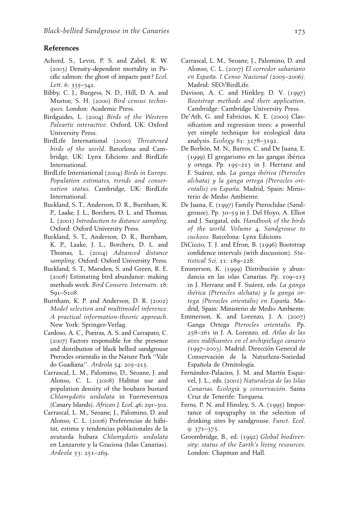# References

- Achord, S., Levin, P. S. and Zabel, R. W. (2003) Density-dependent mortality in Pacific salmon: the ghost of impacts past? Ecol. Lett. 6: 335-342.
- Bibby, C. J., Burgess, N. D., Hill, D. A. and Mustoe, S. H. (2000) Bird census techniques. London: Academic Press.
- Birdguides, L. (2004) Birds of the Western Paleartic interactive. Oxford, UK: Oxford University Press.
- BirdLife International (2000) Threatened birds of the world. Barcelona and Cambridge, UK: Lynx Edicions and BirdLife International.
- BirdLife International (2004) Birds in Europe. Population estimates, trends and conservation status. Cambridge, UK: BirdLife International.
- Buckland, S. T., Anderson, D. R., Burnham, K. P., Laake, J. L., Borchers, D. L. and Thomas, L. (2001) Introduction to distance sampling. Oxford: Oxford University Press.
- Buckland, S. T., Anderson, D. R., Burnham, K. P., Laake, J. L., Borchers, D. L. and Thomas, L. (2004) Advanced distance sampling. Oxford: Oxford University Press.
- Buckland, S. T., Marsden, S. and Green, R. E. (2008) Estimating bird abundance: making methods work. Bird Conserv. Internatn. 18: S91–S108.
- Burnham, K. P. and Anderson, D. R. (2002) Model selection and multimodel inference. A practical information-theoric approach. New York: Springer-Verlag.
- Cardoso, A. C., Poeiras, A. S. and Carrapato, C. (2007) Factors responsible for the presence and distribution of black bellied sandgrouse Pterocles orientalis in the Nature Park ''Vale do Guadiana''. Ardeola 54: 205–215.
- Carrascal, L. M., Palomino, D., Seoane, J. and Alonso, C. L. (2008) Habitat use and population density of the houbara bustard Chlamydotis undulata in Fuerteventura (Canary Islands). African J. Ecol. 46: 291–302.
- Carrascal, L. M., Seoane, J., Palomino, D. and Alonso, C. L. (2006) Preferencias de hábitat, estima y tendencias poblacionales de la avutarda hubara Chlamydotis undulata en Lanzarote y la Graciosa (Islas Canarias). Ardeola 53: 251–269.
- Carrascal, L. M., Seoane, J., Palomino, D. and Alonso, C. L. (2007) El corredor sahariano en España. I Censo Nacional (2005–2006). Madrid: SEO/BirdLife.
- Davison, A. C. and Hinkley, D. V. (1997) Bootstrap methods and their application. Cambridge: Cambridge University Press.
- De'Ath, G. and Fabricius, K. E. (2000) Classification and regression trees: a powerful yet simple technique for ecological data analysis. Ecology 81: 3178–3192.
- De Borbón, M. N., Barros, C. and De Juana, E.  $(1999)$  El gregarismo en las gangas ibérica y ortega. Pp. 195–213 in J. Herranz and F. Suárez, eds. La ganga ibérica (Pterocles alchata) y la ganga ortega (Pterocles orientalis) en España. Madrid, Spain: Ministerio de Medio Ambiente.
- De Juana, E. (1997) Family Pteroclidae (Sandgrouse). Pp. 30–59 in J. Del Hoyo, A. Elliot and J. Sargatal, eds. Handbook of the birds of the world. Volume 4. Sandgrouse to cuckoos. Barcelona: Lynx Edicions.
- DiCiccio, T. J. and Efron, B. (1996) Bootstrap confidence intervals (with discussion). Statistical Sci. 11: 189–228.
- Emmerson, K. (1999) Distribución y abundancia en las islas Canarias. Pp. 109–115 in J. Herranz and F. Suárez, eds. La ganga ibérica (Pterocles alchata) y la ganga ortega (Pterocles orientalis) en España. Madrid, Spain: Ministerio de Medio Ambiente.
- Emmerson, K. and Lorenzo, J. A. (2007) Ganga Ortega Pterocles orientalis. Pp. 258–261 in J. A. Lorenzo, ed. Atlas de las aves nidificantes en el archipielago canario (1997–2003). Madrid: Direccio´n General de Conservación de la Naturleza-Sociedad Española de Ornitología.
- Fernández-Palacios, J. M. and Martín Esquivel, J. L., eds. (2001) Naturaleza de las Islas Canarias. Ecología y conservación. Santa Cruz de Tenerife: Turquesa.
- Ferns, P. N. and Hinsley, S. A. (1995) Importance of topography in the selection of drinking sites by sandgrouse. Funct. Ecol. 9: 371–375.
- Groombridge, B., ed. (1992) Global biodiversity: status of the Earth's living resources. London: Chapman and Hall.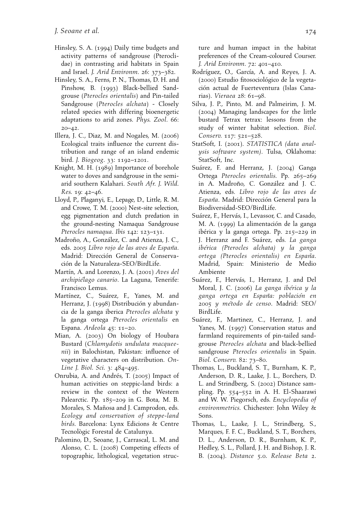- Hinsley, S. A. (1994) Daily time budgets and activity patterns of sandgrouse (Pteroclidae) in contrasting arid habitats in Spain and Israel. J. Arid Environm. 26: 373–382.
- Hinsley, S. A., Ferns, P. N., Thomas, D. H. and Pinshow, B. (1993) Black-bellied Sandgrouse (Pterocles orientalis) and Pin-tailed Sandgrouse (Pterocles alchata) - Closely related species with differing bioenergetic adaptations to arid zones. Phys. Zool. 66:  $20 - 42.$
- Illera, J. C., Diaz, M. and Nogales, M. (2006) Ecological traits influence the current distribution and range of an island endemic bird. J. Biogeog. 33: 1192–1201.
- Knight, M. H. (1989) Importance of borehole water to doves and sandgrouse in the semiarid southern Kalahari. South Afr. J. Wild. Res. 19: 42–46.
- Lloyd, P., Plaganyi, E., Lepage, D., Little, R. M. and Crowe, T. M. (2000) Nest-site selection, egg pigmentation and clutch predation in the ground-nesting Namaqua Sandgrouse Pterocles namaqua. Ibis 142: 123–131.
- Madroño, A., González, C. and Atienza, J. C., eds. 2005 Libro rojo de las aves de España. Madrid: Dirección General de Conservación de la Naturaleza-SEO/BirdLife.
- Martín, A. and Lorenzo, J. A. (2001) Aves del archipielago canario. La Laguna, Tenerife: Francisco Lemus.
- Martínez, C., Suárez, F., Yanes, M. and Herranz, J. (1998) Distribución y abundancia de la ganga iberica Pterocles alchata y la ganga ortega Pterocles orientalis en Espana. Ardeola 45: 11–20.
- Mian, A. (2003) On biology of Houbara Bustard (Chlamydotis undulata macqueenii) in Balochistan, Pakistan: influence of vegetative characters on distribution. On-Line J. Biol. Sci. 3: 484–495.
- Onrubia, A. and Andrés, T. (2005) Impact of human activities on steppic-land birds: a review in the context of the Western Palearctic. Pp. 185–209 in G. Bota, M. B. Morales, S. Mañosa and J. Camprodon, eds. Ecology and conservation of steppe-land birds. Barcelona: Lynx Edicions & Centre Tecnològic Forestal de Catalunya.
- Palomino, D., Seoane, J., Carrascal, L. M. and Alonso, C. L. (2008) Competing effects of topographic, lithological, vegetation struc-

ture and human impact in the habitat preferences of the Cream-coloured Courser. J. Arid Environm. 72: 401–410.

- Rodríguez, O., García, A. and Reyes, J. A. (2000) Estudio fitosociológico de la vegetación actual de Fuerteventura (Islas Canarias). Vieraea 28: 61–98.
- Silva, J. P., Pinto, M. and Palmeirim, J. M. (2004) Managing landscapes for the little bustard Tetrax tetrax: lessons from the study of winter habitat selection. Biol. Conserv. 117: 521–528.
- StatSoft, I. (2001). STATISTICA (data analysis software system). Tulsa, Oklahoma: StatSoft, Inc.
- Suárez, F. and Herranz, J. (2004) Ganga Ortega Pterocles orientalis. Pp. 265–269 in A. Madroño, C. González and J. C. Atienza, eds. Libro rojo de las aves de España. Madrid: Dirección General para la Biodiversidad-SEO/BirdLife.
- Suárez, F., Hervás, I., Levassor, C. and Casado, M. A. (1999) La alimentación de la ganga ibérica y la ganga ortega. Pp. 215–229 in J. Herranz and F. Suárez, eds. La ganga ibe´rica (Pterocles alchata) y la ganga ortega (Pterocles orientalis) en España. Madrid, Spain: Ministerio de Medio Ambiente
- Suárez, F., Hervás, I., Herranz, J. and Del Moral, J. C. (2006) La ganga ibérica y la ganga ortega en España: población en 2005 y me´todo de censo. Madrid: SEO/ BirdLife.
- Suárez, F., Martinez, C., Herranz, J. and Yanes, M. (1997) Conservation status and farmland requirements of pin-tailed sandgrouse Pterocles alchata and black-bellied sandgrouse Pterocles orientalis in Spain. Biol. Conserv. 82: 73–80.
- Thomas, L., Buckland, S. T., Burnham, K. P., Anderson, D. R., Laake, J. L., Borchers, D. L. and Strindberg, S. (2002) Distance sampling. Pp. 554–552 in A. H. El-Shaarawi and W. W. Piegorsch, eds. Encyclopedia of environmetrics. Chichester: John Wiley & Sons.
- Thomas, L., Laake, J. L., Strindberg, S., Marques, F. F. C., Buckland, S. T., Borchers, D. L., Anderson, D. R., Burnham, K. P., Hedley, S. L., Pollard, J. H. and Bishop, J. R. B. (2004). Distance 5.0. Release Beta 2.